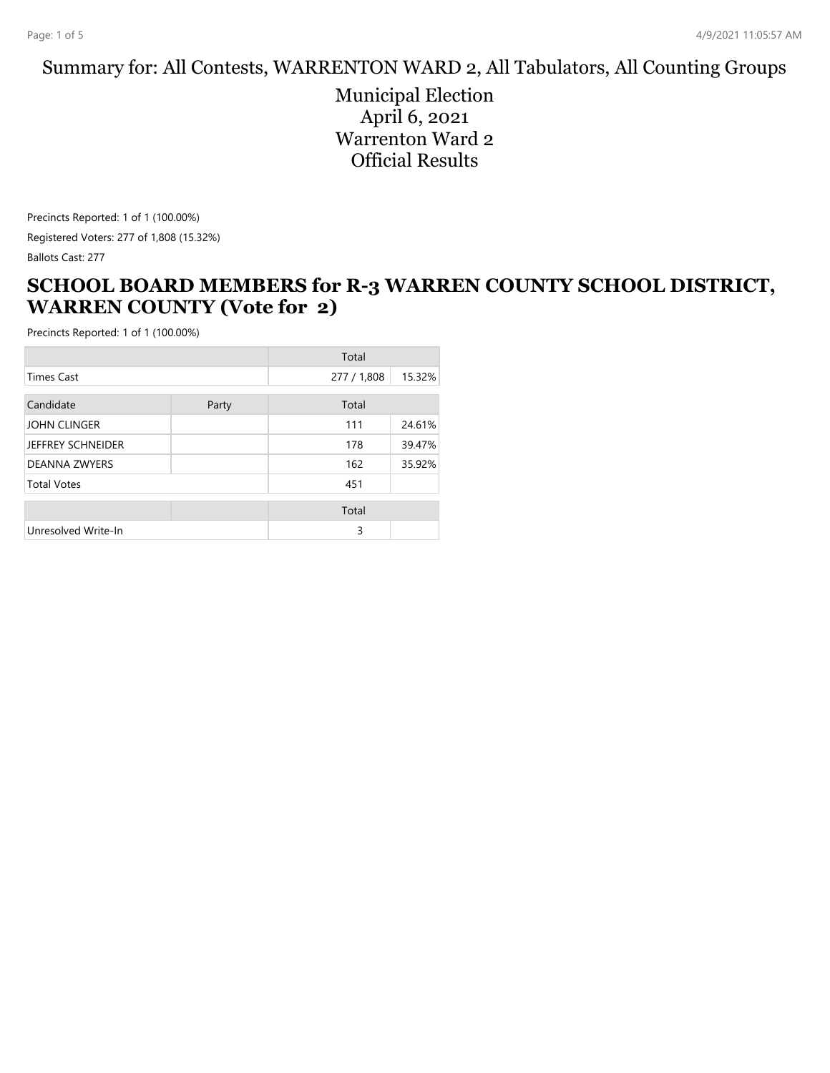#### Summary for: All Contests, WARRENTON WARD 2, All Tabulators, All Counting Groups

Municipal Election April 6, 2021 Warrenton Ward 2 Official Results

Precincts Reported: 1 of 1 (100.00%) Registered Voters: 277 of 1,808 (15.32%) Ballots Cast: 277

#### **SCHOOL BOARD MEMBERS for R-3 WARREN COUNTY SCHOOL DISTRICT, WARREN COUNTY (Vote for 2)**

|                      |       | Total       |        |
|----------------------|-------|-------------|--------|
| <b>Times Cast</b>    |       | 277 / 1,808 | 15.32% |
| Candidate            | Party | Total       |        |
| JOHN CLINGER         |       | 111         | 24.61% |
| JEFFREY SCHNEIDER    |       | 178         | 39.47% |
| <b>DEANNA ZWYERS</b> |       | 162         | 35.92% |
| <b>Total Votes</b>   |       | 451         |        |
|                      |       | Total       |        |
| Unresolved Write-In  |       | 3           |        |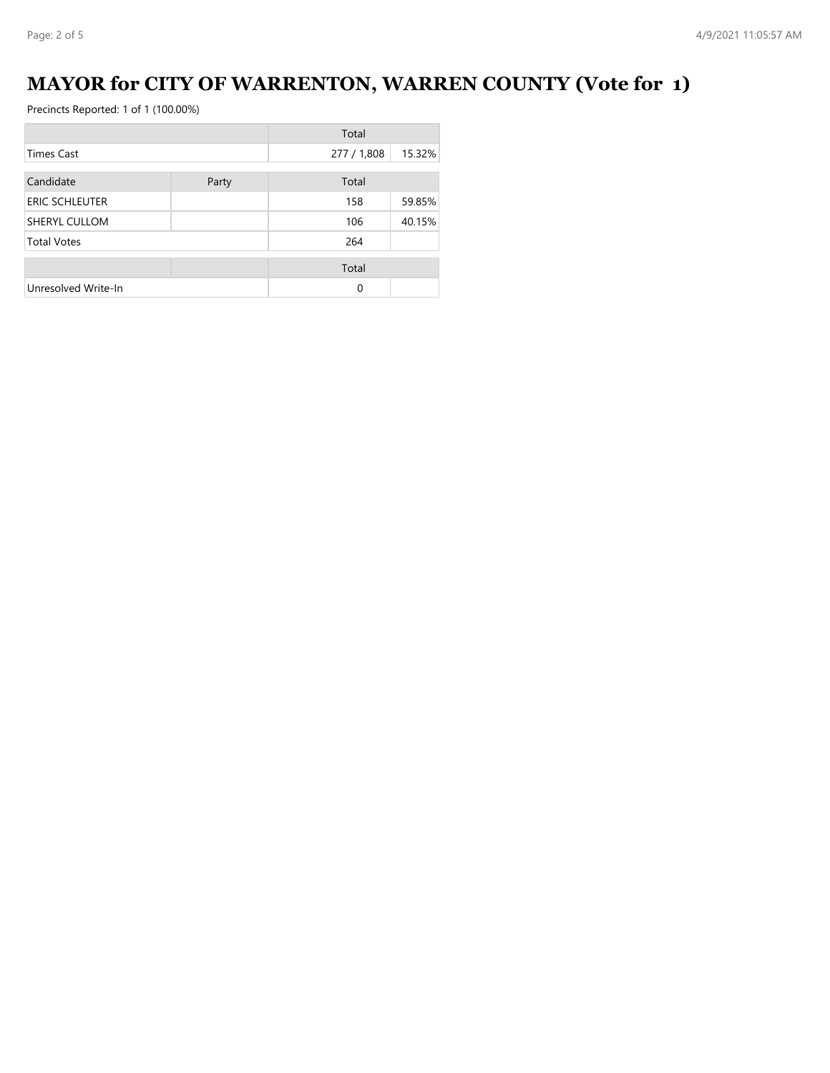# **MAYOR for CITY OF WARRENTON, WARREN COUNTY (Vote for 1)**

|                       |       | Total       |        |
|-----------------------|-------|-------------|--------|
| Times Cast            |       | 277 / 1,808 | 15.32% |
| Candidate             | Party | Total       |        |
| <b>ERIC SCHLEUTER</b> |       | 158         | 59.85% |
| SHERYL CULLOM         |       | 106         | 40.15% |
| <b>Total Votes</b>    |       | 264         |        |
|                       |       | Total       |        |
| Unresolved Write-In   |       | 0           |        |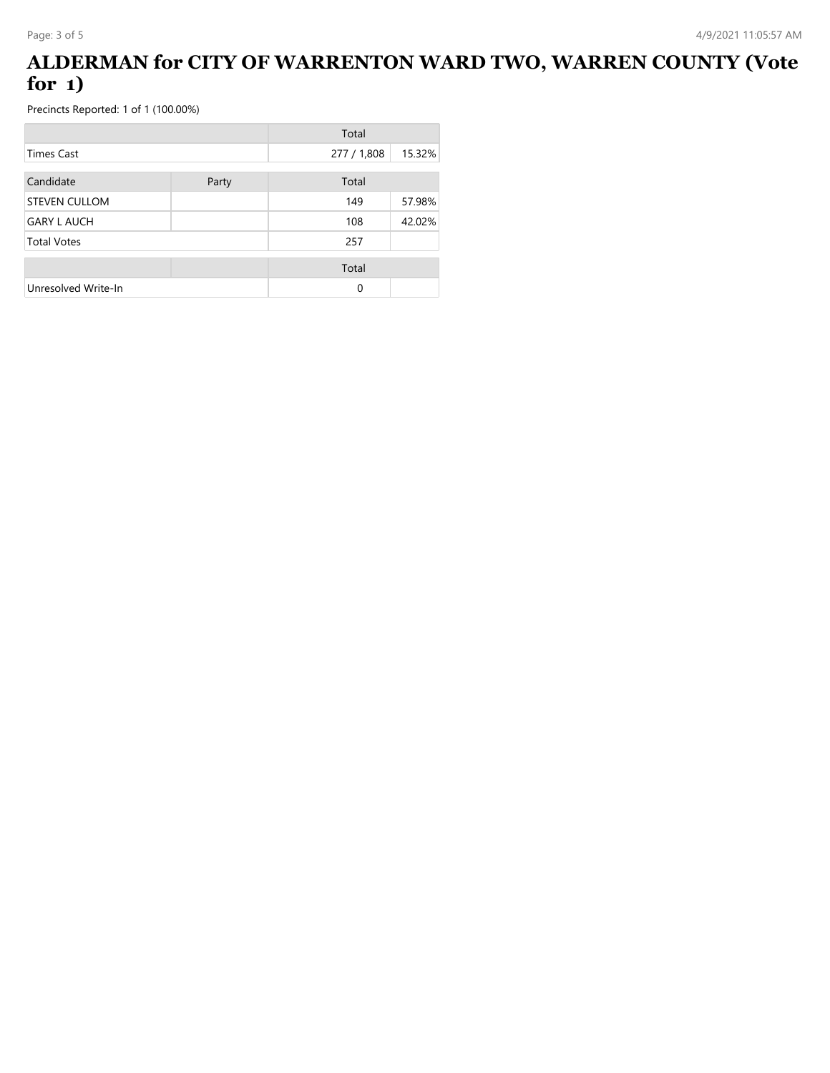#### **ALDERMAN for CITY OF WARRENTON WARD TWO, WARREN COUNTY (Vote for 1)**

|                      |       | Total       |        |
|----------------------|-------|-------------|--------|
| <b>Times Cast</b>    |       | 277 / 1,808 | 15.32% |
| Candidate            | Party | Total       |        |
| <b>STEVEN CULLOM</b> |       | 149         | 57.98% |
| <b>GARY L AUCH</b>   |       | 108         | 42.02% |
| <b>Total Votes</b>   |       | 257         |        |
|                      |       | Total       |        |
| Unresolved Write-In  |       | $\Omega$    |        |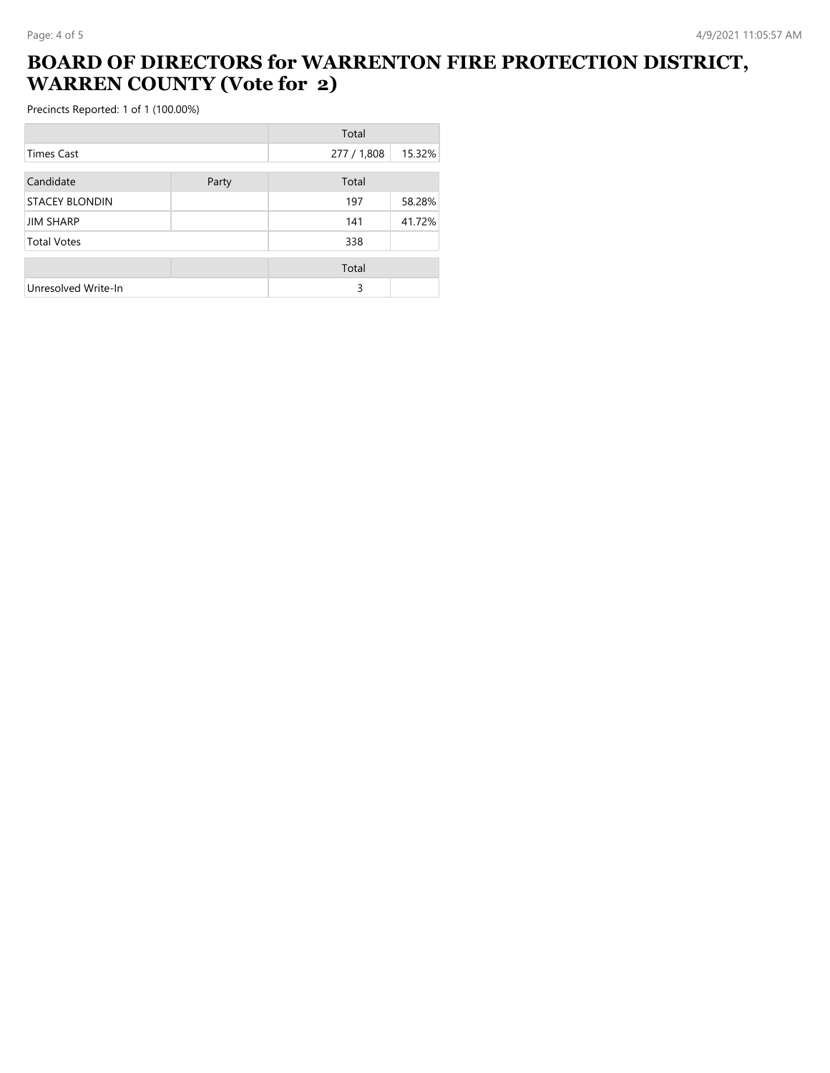## **BOARD OF DIRECTORS for WARRENTON FIRE PROTECTION DISTRICT, WARREN COUNTY (Vote for 2)**

|                       |       | Total       |        |
|-----------------------|-------|-------------|--------|
| Times Cast            |       | 277 / 1,808 | 15.32% |
| Candidate             | Party | Total       |        |
| <b>STACEY BLONDIN</b> |       | 197         | 58.28% |
| <b>JIM SHARP</b>      |       | 141         | 41.72% |
| <b>Total Votes</b>    |       | 338         |        |
|                       |       | Total       |        |
| Unresolved Write-In   |       | 3           |        |